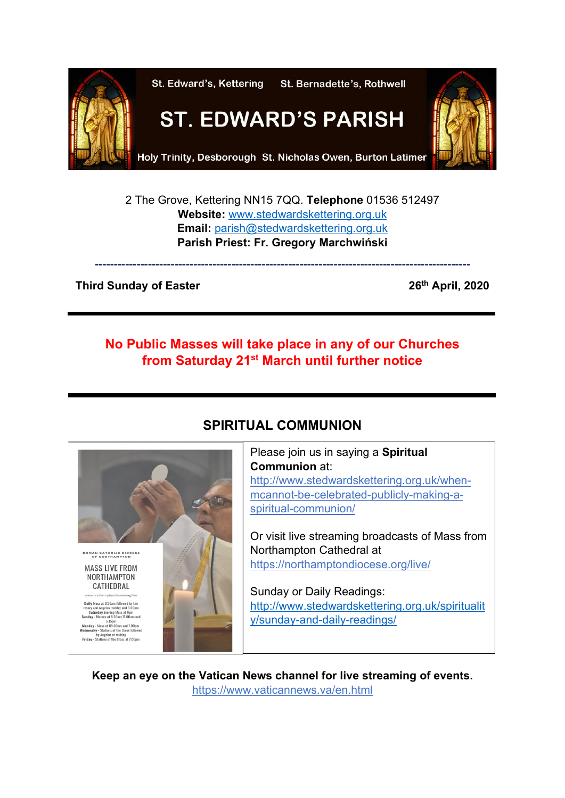

2 The Grove, Kettering NN15 7QQ. **Telephone** 01536 512497 **Website:** [www.stedwardskettering.org.uk](http://www.stedwardskettering.org.uk/) **Email:** [parish@stedwardskettering.org.uk](mailto:parish@stedwardskettering.org.uk) **Parish Priest: Fr. Gregory Marchwiński**

**---------------------------------------------------------------------------------------------------**

### **Third Sunday of Easter 26th 26th April, 2020**

# **No Public Masses will take place in any of our Churches from Saturday 21st March until further notice**



# **SPIRITUAL COMMUNION**

Please join us in saying a **Spiritual Communion** at: [http://www.stedwardskettering.org.uk/when](http://www.stedwardskettering.org.uk/when-mass-cannot-be-celebrated-publicly-making-a-spiritual-communion/)[mcannot-be-celebrated-publicly-making-a](http://www.stedwardskettering.org.uk/when-mass-cannot-be-celebrated-publicly-making-a-spiritual-communion/)[spiritual-communion/](http://www.stedwardskettering.org.uk/when-mass-cannot-be-celebrated-publicly-making-a-spiritual-communion/)

Or visit live streaming broadcasts of Mass from Northampton Cathedral at <https://northamptondiocese.org/live/>

Sunday or Daily Readings: [http://www.stedwardskettering.org.uk/spiritualit](http://www.stedwardskettering.org.uk/spirituality/sunday-and-daily-readings/) [y/sunday-and-daily-readings/](http://www.stedwardskettering.org.uk/spirituality/sunday-and-daily-readings/)

**Keep an eye on the Vatican News channel for live streaming of events.**  <https://www.vaticannews.va/en.html>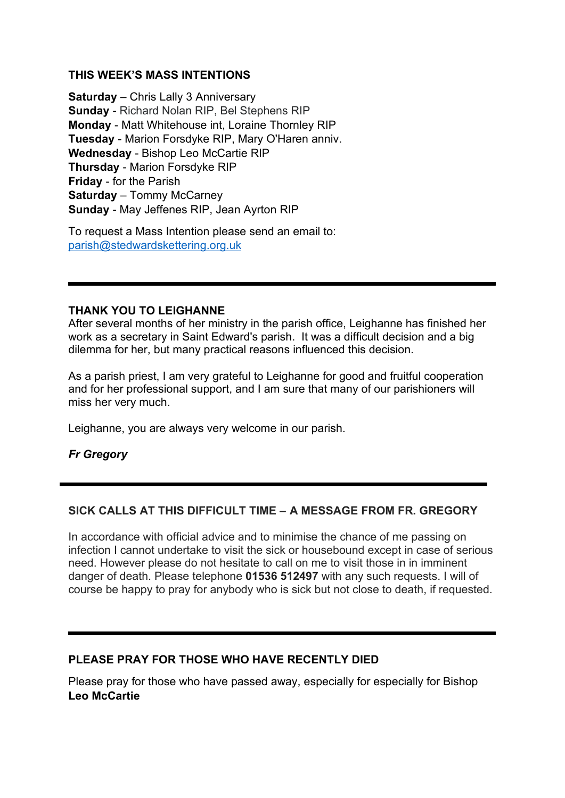#### **THIS WEEK'S MASS INTENTIONS**

**Saturday** – Chris Lally 3 Anniversary **Sunday** - Richard Nolan RIP, Bel Stephens RIP **Monday** - Matt Whitehouse int, Loraine Thornley RIP **Tuesday** - Marion Forsdyke RIP, Mary O'Haren anniv. **Wednesday** - Bishop Leo McCartie RIP **Thursday** - Marion Forsdyke RIP **Friday** - for the Parish **Saturday** – Tommy McCarney **Sunday** - May Jeffenes RIP, Jean Ayrton RIP

To request a Mass Intention please send an email to: [parish@stedwardskettering.org.uk](mailto:parish@stedwardskettering.org.uk)

#### **THANK YOU TO LEIGHANNE**

After several months of her ministry in the parish office, Leighanne has finished her work as a secretary in Saint Edward's parish. It was a difficult decision and a big dilemma for her, but many practical reasons influenced this decision.

As a parish priest, I am very grateful to Leighanne for good and fruitful cooperation and for her professional support, and I am sure that many of our parishioners will miss her very much.

Leighanne, you are always very welcome in our parish.

*Fr Gregory*

#### **SICK CALLS AT THIS DIFFICULT TIME – A MESSAGE FROM FR. GREGORY**

In accordance with official advice and to minimise the chance of me passing on infection I cannot undertake to visit the sick or housebound except in case of serious need. However please do not hesitate to call on me to visit those in in imminent danger of death. Please telephone **01536 512497** with any such requests. I will of course be happy to pray for anybody who is sick but not close to death, if requested.

#### **PLEASE PRAY FOR THOSE WHO HAVE RECENTLY DIED**

Please pray for those who have passed away, especially for especially for Bishop **Leo McCartie**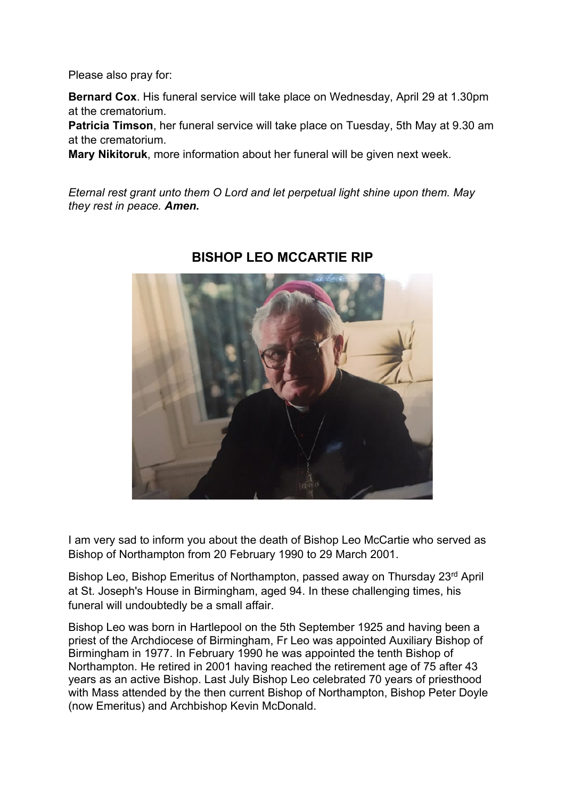Please also pray for:

**Bernard Cox**. His funeral service will take place on Wednesday, April 29 at 1.30pm at the crematorium.

**Patricia Timson**, her funeral service will take place on Tuesday, 5th May at 9.30 am at the crematorium.

**Mary Nikitoruk**, more information about her funeral will be given next week.

*Eternal rest grant unto them O Lord and let perpetual light shine upon them. May they rest in peace. Amen.*



## **BISHOP LEO MCCARTIE RIP**

I am very sad to inform you about the death of Bishop Leo McCartie who served as Bishop of Northampton from 20 February 1990 to 29 March 2001.

Bishop Leo, Bishop Emeritus of Northampton, passed away on Thursday 23<sup>rd</sup> April at St. Joseph's House in Birmingham, aged 94. In these challenging times, his funeral will undoubtedly be a small affair.

Bishop Leo was born in Hartlepool on the 5th September 1925 and having been a priest of the Archdiocese of Birmingham, Fr Leo was appointed Auxiliary Bishop of Birmingham in 1977. In February 1990 he was appointed the tenth Bishop of Northampton. He retired in 2001 having reached the retirement age of 75 after 43 years as an active Bishop. Last July Bishop Leo celebrated 70 years of priesthood with Mass attended by the then current Bishop of Northampton, Bishop Peter Doyle (now Emeritus) and Archbishop Kevin McDonald.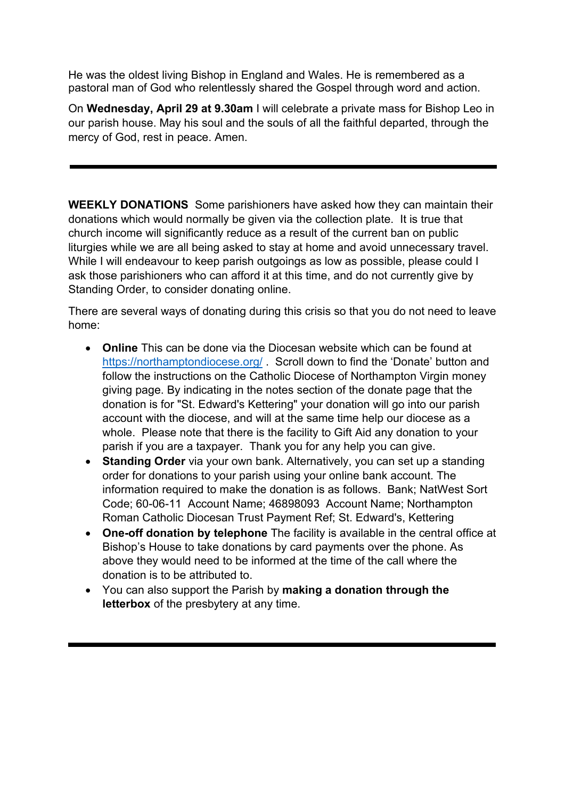He was the oldest living Bishop in England and Wales. He is remembered as a pastoral man of God who relentlessly shared the Gospel through word and action.

On **Wednesday, April 29 at 9.30am** I will celebrate a private mass for Bishop Leo in our parish house. May his soul and the souls of all the faithful departed, through the mercy of God, rest in peace. Amen.

**WEEKLY DONATIONS** Some parishioners have asked how they can maintain their donations which would normally be given via the collection plate. It is true that church income will significantly reduce as a result of the current ban on public liturgies while we are all being asked to stay at home and avoid unnecessary travel. While I will endeavour to keep parish outgoings as low as possible, please could I ask those parishioners who can afford it at this time, and do not currently give by Standing Order, to consider donating online.

There are several ways of donating during this crisis so that you do not need to leave home:

- **Online** This can be done via the Diocesan website which can be found at <https://northamptondiocese.org/> . Scroll down to find the 'Donate' button and follow the instructions on the Catholic Diocese of Northampton Virgin money giving page. By indicating in the notes section of the donate page that the donation is for "St. Edward's Kettering" your donation will go into our parish account with the diocese, and will at the same time help our diocese as a whole. Please note that there is the facility to Gift Aid any donation to your parish if you are a taxpayer. Thank you for any help you can give.
- **Standing Order** via your own bank. Alternatively, you can set up a standing order for donations to your parish using your online bank account. The information required to make the donation is as follows. Bank; NatWest Sort Code; 60-06-11 Account Name; 46898093 Account Name; Northampton Roman Catholic Diocesan Trust Payment Ref; St. Edward's, Kettering
- **One-off donation by telephone** The facility is available in the central office at Bishop's House to take donations by card payments over the phone. As above they would need to be informed at the time of the call where the donation is to be attributed to.
- You can also support the Parish by **making a donation through the letterbox** of the presbytery at any time.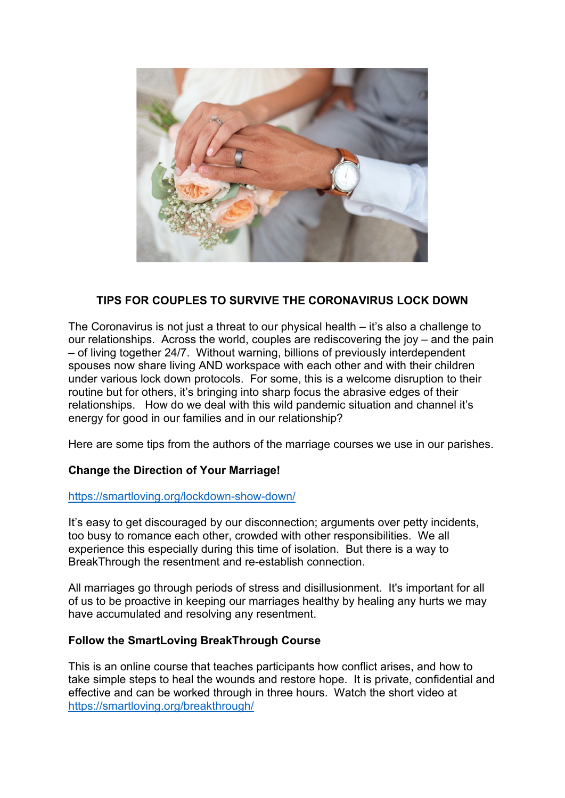

## **TIPS FOR COUPLES TO SURVIVE THE CORONAVIRUS LOCK DOWN**

The Coronavirus is not just a threat to our physical health – it's also a challenge to our relationships. Across the world, couples are rediscovering the joy – and the pain – of living together 24/7. Without warning, billions of previously interdependent spouses now share living AND workspace with each other and with their children under various lock down protocols. For some, this is a welcome disruption to their routine but for others, it's bringing into sharp focus the abrasive edges of their relationships. How do we deal with this wild pandemic situation and channel it's energy for good in our families and in our relationship?

Here are some tips from the authors of the marriage courses we use in our parishes.

#### **Change the Direction of Your Marriage!**

#### <https://smartloving.org/lockdown-show-down/>

It's easy to get discouraged by our disconnection; arguments over petty incidents, too busy to romance each other, crowded with other responsibilities. We all experience this especially during this time of isolation. But there is a way to BreakThrough the resentment and re-establish connection.

All marriages go through periods of stress and disillusionment. It's important for all of us to be proactive in keeping our marriages healthy by healing any hurts we may have accumulated and resolving any resentment.

#### **Follow the SmartLoving BreakThrough Course**

This is an online course that teaches participants how conflict arises, and how to take simple steps to heal the wounds and restore hope. It is private, confidential and effective and can be worked through in three hours. Watch the short video at <https://smartloving.org/breakthrough/>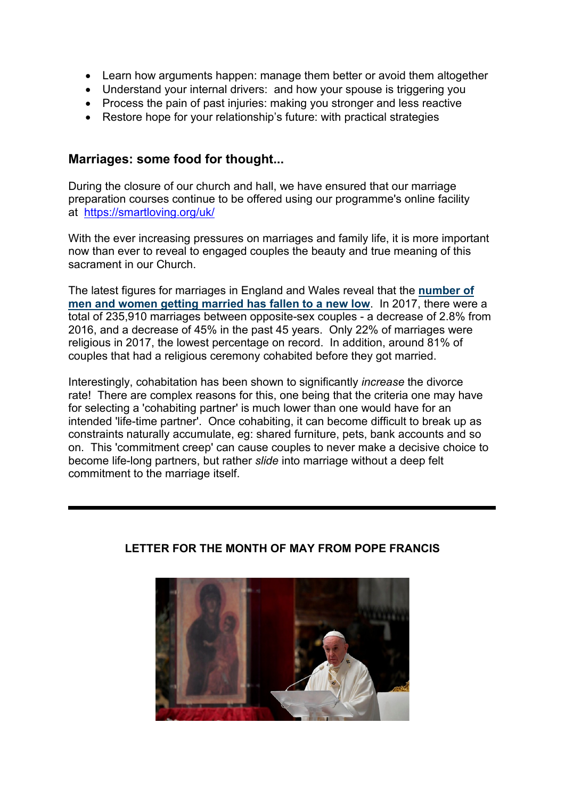- Learn how arguments happen: manage them better or avoid them altogether
- Understand your internal drivers: and how your spouse is triggering you
- Process the pain of past injuries: making you stronger and less reactive
- Restore hope for your relationship's future: with practical strategies

## **Marriages: some food for thought...**

During the closure of our church and hall, we have ensured that our marriage preparation courses continue to be offered using our programme's online facility at <https://smartloving.org/uk/>

With the ever increasing pressures on marriages and family life, it is more important now than ever to reveal to engaged couples the beauty and true meaning of this sacrament in our Church.

The latest figures for marriages in England and Wales reveal that the **[number of](https://christianconcern.us2.list-manage.com/track/click?u=bed173cc9adfcad1e0e442a35&id=992f2e86c7&e=17552e2cf9)  [men and women getting married has fallen to a new low](https://christianconcern.us2.list-manage.com/track/click?u=bed173cc9adfcad1e0e442a35&id=992f2e86c7&e=17552e2cf9)**. In 2017, there were a total of 235,910 marriages between opposite-sex couples - a decrease of 2.8% from 2016, and a decrease of 45% in the past 45 years. Only 22% of marriages were religious in 2017, the lowest percentage on record. In addition, around 81% of couples that had a religious ceremony cohabited before they got married.

Interestingly, cohabitation has been shown to significantly *increase* the divorce rate! There are complex reasons for this, one being that the criteria one may have for selecting a 'cohabiting partner' is much lower than one would have for an intended 'life-time partner'. Once cohabiting, it can become difficult to break up as constraints naturally accumulate, eg: shared furniture, pets, bank accounts and so on. This 'commitment creep' can cause couples to never make a decisive choice to become life-long partners, but rather *slide* into marriage without a deep felt commitment to the marriage itself.



## **LETTER FOR THE MONTH OF MAY FROM POPE FRANCIS**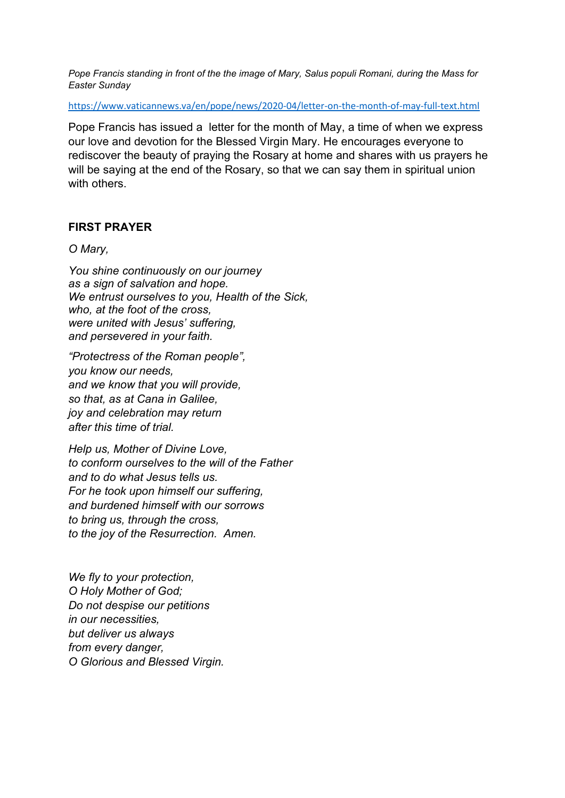*Pope Francis standing in front of the the image of Mary, Salus populi Romani, during the Mass for Easter Sunday*

<https://www.vaticannews.va/en/pope/news/2020-04/letter-on-the-month-of-may-full-text.html>

Pope Francis has issued a letter for the month of May, a time of when we express our love and devotion for the Blessed Virgin Mary. He encourages everyone to rediscover the beauty of praying the Rosary at home and shares with us prayers he will be saying at the end of the Rosary, so that we can say them in spiritual union with others.

## **FIRST PRAYER**

#### *O Mary,*

*You shine continuously on our journey as a sign of salvation and hope. We entrust ourselves to you, Health of the Sick, who, at the foot of the cross, were united with Jesus' suffering, and persevered in your faith.*

*"Protectress of the Roman people", you know our needs, and we know that you will provide, so that, as at Cana in Galilee, joy and celebration may return after this time of trial.*

*Help us, Mother of Divine Love, to conform ourselves to the will of the Father and to do what Jesus tells us. For he took upon himself our suffering, and burdened himself with our sorrows to bring us, through the cross, to the joy of the Resurrection. Amen.*

*We fly to your protection, O Holy Mother of God; Do not despise our petitions in our necessities, but deliver us always from every danger, O Glorious and Blessed Virgin.*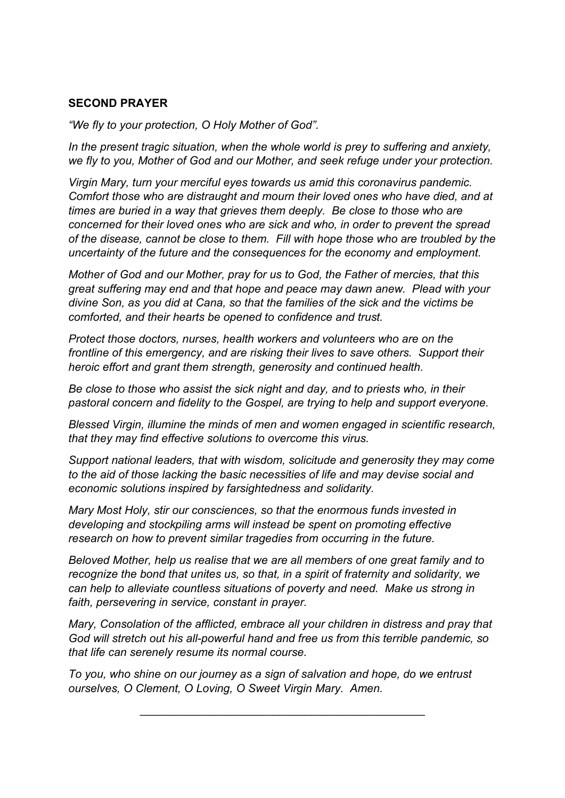## **SECOND PRAYER**

*"We fly to your protection, O Holy Mother of God".* 

In the present tragic situation, when the whole world is prey to suffering and anxiety, *we fly to you, Mother of God and our Mother, and seek refuge under your protection.*

*Virgin Mary, turn your merciful eyes towards us amid this coronavirus pandemic. Comfort those who are distraught and mourn their loved ones who have died, and at times are buried in a way that grieves them deeply. Be close to those who are concerned for their loved ones who are sick and who, in order to prevent the spread of the disease, cannot be close to them. Fill with hope those who are troubled by the uncertainty of the future and the consequences for the economy and employment.*

*Mother of God and our Mother, pray for us to God, the Father of mercies, that this great suffering may end and that hope and peace may dawn anew. Plead with your divine Son, as you did at Cana, so that the families of the sick and the victims be comforted, and their hearts be opened to confidence and trust.*

*Protect those doctors, nurses, health workers and volunteers who are on the frontline of this emergency, and are risking their lives to save others. Support their heroic effort and grant them strength, generosity and continued health.*

*Be close to those who assist the sick night and day, and to priests who, in their pastoral concern and fidelity to the Gospel, are trying to help and support everyone.* 

*Blessed Virgin, illumine the minds of men and women engaged in scientific research, that they may find effective solutions to overcome this virus.* 

*Support national leaders, that with wisdom, solicitude and generosity they may come to the aid of those lacking the basic necessities of life and may devise social and economic solutions inspired by farsightedness and solidarity.* 

*Mary Most Holy, stir our consciences, so that the enormous funds invested in developing and stockpiling arms will instead be spent on promoting effective research on how to prevent similar tragedies from occurring in the future.* 

*Beloved Mother, help us realise that we are all members of one great family and to recognize the bond that unites us, so that, in a spirit of fraternity and solidarity, we can help to alleviate countless situations of poverty and need. Make us strong in faith, persevering in service, constant in prayer.*

*Mary, Consolation of the afflicted, embrace all your children in distress and pray that God will stretch out his all-powerful hand and free us from this terrible pandemic, so that life can serenely resume its normal course.* 

\_\_\_\_\_\_\_\_\_\_\_\_\_\_\_\_\_\_\_\_\_\_\_\_\_\_\_\_\_\_\_\_\_\_\_\_\_\_\_\_\_\_\_\_\_

*To you, who shine on our journey as a sign of salvation and hope, do we entrust ourselves, O Clement, O Loving, O Sweet Virgin Mary. Amen.*